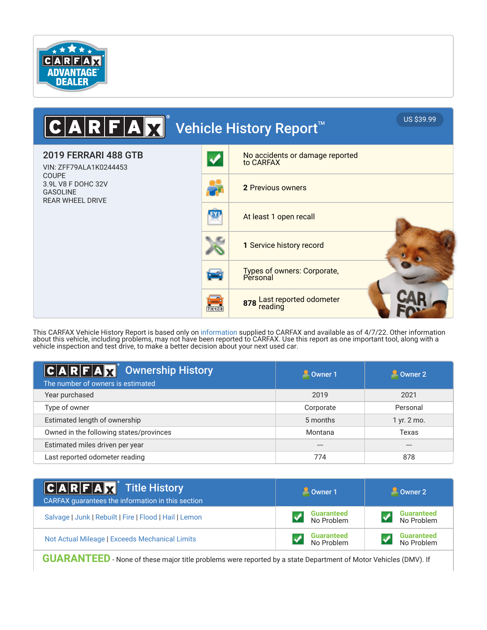

### A ■ Vehicle History Report™ US \$39.99 F  $\bullet$ 2019 FERRARI 488 GTB No accidents or damage reported to CARFAX VIN: ZFF79ALA1K0244453 COUPE 3.9L V8 F DOHC 32V **2** Previous owners GASOLINE REAR WHEEL DRIVE FY) At least 1 open recall **1** Service history record Types of owners: Corporate, **Personal** 878 Last reported odometer<br>reading  $711128$

This CARFAX Vehicle History Report is based only on information supplied to CARFAX and available as of 4/7/22. Other information about this vehicle, including problems, may not have been reported to CARFAX. Use this report as one important tool, along with a vehicle inspection and test drive, to make a better decision about your next used car.

| $ C A R F A \overline{X} ^2$ Ownership History<br>The number of owners is estimated | Owner 1   | Owner 2     |
|-------------------------------------------------------------------------------------|-----------|-------------|
| Year purchased                                                                      | 2019      | 2021        |
| Type of owner                                                                       | Corporate | Personal    |
| Estimated length of ownership                                                       | 5 months  | 1 yr. 2 mo. |
| Owned in the following states/provinces                                             | Montana   | Texas       |
| Estimated miles driven per year                                                     | $---$     | $---$       |
| Last reported odometer reading                                                      | 774       | 878         |

| $ C $ <b>A R F A X</b> Title History<br>CARFAX guarantees the information in this section | $\frac{1}{2}$ Owner 1           |                                 |
|-------------------------------------------------------------------------------------------|---------------------------------|---------------------------------|
| Salvage   Junk   Rebuilt   Fire   Flood   Hail   Lemon                                    | <b>Guaranteed</b><br>No Problem | <b>Guaranteed</b><br>No Problem |
| Not Actual Mileage   Exceeds Mechanical Limits                                            | <b>Guaranteed</b><br>No Problem | <b>Guaranteed</b><br>No Problem |

**GUARANTEED** - None of these major title problems were reported by a state Department of Motor Vehicles (DMV). If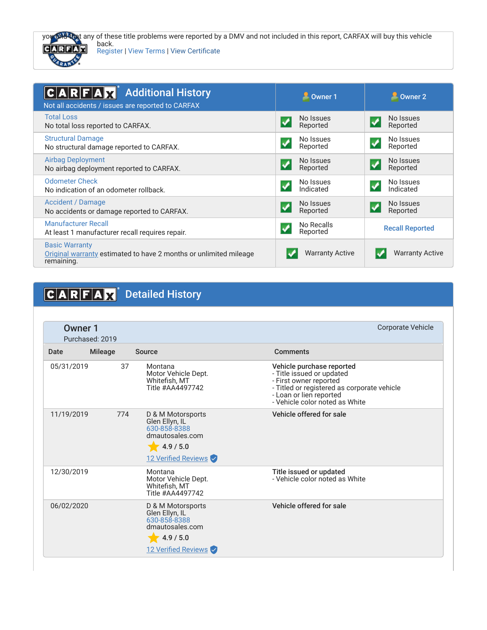



back. Register | View Terms | View Certificate

| <b>Additional History</b><br>$C A R F A \overline{X}$<br>Not all accidents / issues are reported to CARFAX | <b>D</b> Owner 1                               | $\triangle$ Owner 2                           |
|------------------------------------------------------------------------------------------------------------|------------------------------------------------|-----------------------------------------------|
| <b>Total Loss</b><br>No total loss reported to CARFAX.                                                     | No Issues<br>$\blacktriangledown$<br>Reported  | No Issues<br>$\blacktriangledown$<br>Reported |
| <b>Structural Damage</b><br>No structural damage reported to CARFAX.                                       | No Issues<br>Reported                          | No Issues<br>Reported                         |
| <b>Airbag Deployment</b><br>No airbag deployment reported to CARFAX.                                       | No Issues<br>✔<br>Reported                     | No Issues<br>Reported                         |
| <b>Odometer Check</b><br>No indication of an odometer rollback.                                            | No Issues<br>$\blacktriangledown$<br>Indicated | No Issues<br>Indicated                        |
| Accident / Damage<br>No accidents or damage reported to CARFAX.                                            | No Issues<br>Reported                          | No Issues<br>Reported                         |
| <b>Manufacturer Recall</b><br>At least 1 manufacturer recall requires repair.                              | No Recalls<br>$\blacktriangledown$<br>Reported | <b>Recall Reported</b>                        |
| <b>Basic Warranty</b><br>Original warranty estimated to have 2 months or unlimited mileage<br>remaining.   | <b>Warranty Active</b>                         | <b>Warranty Active</b>                        |

# CARFAX<sup>®</sup> Detailed History

| <b>Owner 1</b> | Purchased: 2019 |                                                                                                            | <b>Corporate Vehicle</b>                                                                                                                                                                     |
|----------------|-----------------|------------------------------------------------------------------------------------------------------------|----------------------------------------------------------------------------------------------------------------------------------------------------------------------------------------------|
| Date           | <b>Mileage</b>  | Source                                                                                                     | Comments                                                                                                                                                                                     |
| 05/31/2019     | 37              | Montana<br>Motor Vehicle Dept.<br>Whitefish, MT<br>Title #AA4497742                                        | Vehicle purchase reported<br>- Title issued or updated<br>- First owner reported<br>- Titled or registered as corporate vehicle<br>- Loan or lien reported<br>- Vehicle color noted as White |
| 11/19/2019     | 774             | D & M Motorsports<br>Glen Ellyn, IL<br>630-858-8388<br>dmautosales.com<br>4.9 / 5.0<br>12 Verified Reviews | Vehicle offered for sale                                                                                                                                                                     |
| 12/30/2019     |                 | Montana<br>Motor Vehicle Dept.<br>Whitefish, MT<br>Title #AA4497742                                        | Title issued or updated<br>- Vehicle color noted as White                                                                                                                                    |
| 06/02/2020     |                 | D & M Motorsports<br>Glen Ellyn, IL<br>630-858-8388<br>dmautosales.com<br>4.9 / 5.0<br>12 Verified Reviews | Vehicle offered for sale                                                                                                                                                                     |